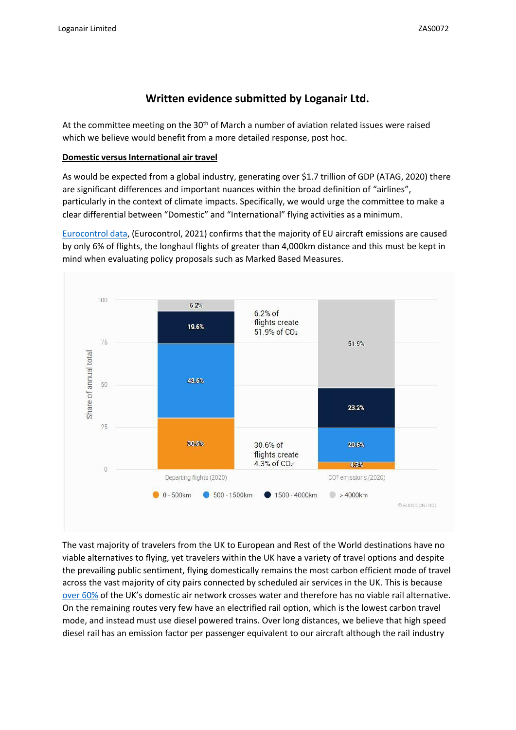# **Written evidence submitted by Loganair Ltd.**

At the committee meeting on the  $30<sup>th</sup>$  of March a number of aviation related issues were raised which we believe would benefit from a more detailed response, post hoc.

# **Domestic versus International air travel**

As would be expected from a global industry, generating over \$1.7 trillion of GDP (ATAG, 2020) there are significant differences and important nuances within the broad definition of "airlines", particularly in the context of climate impacts. Specifically, we would urge the committee to make a clear differential between "Domestic" and "International" flying activities as a minimum.

[Eurocontrol](https://www.eurocontrol.int/publication/eurocontrol-data-snapshot-co2-emissions-flight-distance) [data,](https://www.eurocontrol.int/publication/eurocontrol-data-snapshot-co2-emissions-flight-distance) (Eurocontrol, 2021) confirms that the majority of EU aircraft emissions are caused by only 6% of flights, the longhaul flights of greater than 4,000km distance and this must be kept in mind when evaluating policy proposals such as Marked Based Measures.



The vast majority of travelers from the UK to European and Rest of the World destinations have no viable alternatives to flying, yet travelers within the UK have a variety of travel options and despite the prevailing public sentiment, flying domestically remains the most carbon efficient mode of travel across the vast majority of city pairs connected by scheduled air services in the UK. This is because [over](https://www.oag.com/airline-schedules-data) [60%](https://www.oag.com/airline-schedules-data) [o](https://www.oag.com/airline-schedules-data)f the UK's domestic air network crosses water and therefore has no viable rail alternative. On the remaining routes very few have an electrified rail option, which is the lowest carbon travel mode, and instead must use diesel powered trains. Over long distances, we believe that high speed diesel rail has an emission factor per passenger equivalent to our aircraft although the rail industry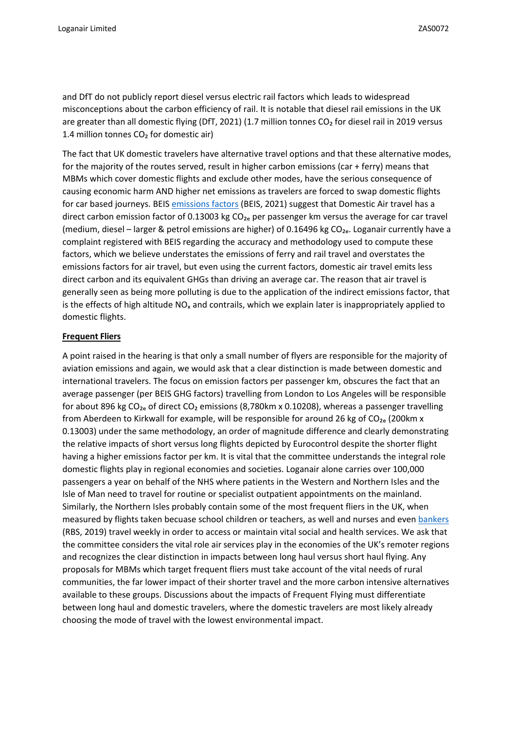and DfT do not publicly report diesel versus electric rail factors which leads to widespread misconceptions about the carbon efficiency of rail. It is notable that diesel rail emissions in the UK are greater than all domestic flying (DfT, 2021) (1.7 million tonnes CO<sub>2</sub> for diesel rail in 2019 versus 1.4 million tonnes  $CO<sub>2</sub>$  for domestic air)

The fact that UK domestic travelers have alternative travel options and that these alternative modes, for the majority of the routes served, result in higher carbon emissions (car + ferry) means that MBMs which cover domestic flights and exclude other modes, have the serious consequence of causing economic harm AND higher net emissions as travelers are forced to swap domestic flights for car based journeys. BEIS [emissions](https://www.gov.uk/government/publications/greenhouse-gas-reporting-conversion-factors-2021) [factors](https://www.gov.uk/government/publications/greenhouse-gas-reporting-conversion-factors-2021) [\(](https://www.gov.uk/government/publications/greenhouse-gas-reporting-conversion-factors-2021)BEIS, 2021) suggest that Domestic Air travel has a direct carbon emission factor of 0.13003 kg  $CO<sub>2e</sub>$  per passenger km versus the average for car travel (medium, diesel – larger & petrol emissions are higher) of 0.16496 kg CO<sub>2e</sub>. Loganair currently have a complaint registered with BEIS regarding the accuracy and methodology used to compute these factors, which we believe understates the emissions of ferry and rail travel and overstates the emissions factors for air travel, but even using the current factors, domestic air travel emits less direct carbon and its equivalent GHGs than driving an average car. The reason that air travel is generally seen as being more polluting is due to the application of the indirect emissions factor, that is the effects of high altitude  $NO<sub>x</sub>$  and contrails, which we explain later is inappropriately applied to domestic flights.

## **Frequent Fliers**

A point raised in the hearing is that only a small number of flyers are responsible for the majority of aviation emissions and again, we would ask that a clear distinction is made between domestic and international travelers. The focus on emission factors per passenger km, obscures the fact that an average passenger (per BEIS GHG factors) travelling from London to Los Angeles will be responsible for about 896 kg  $CO<sub>2</sub>$  of direct  $CO<sub>2</sub>$  emissions (8,780km x 0.10208), whereas a passenger travelling from Aberdeen to Kirkwall for example, will be responsible for around 26 kg of  $CO<sub>2e</sub>$  (200km x 0.13003) under the same methodology, an order of magnitude difference and clearly demonstrating the relative impacts of short versus long flights depicted by Eurocontrol despite the shorter flight having a higher emissions factor per km. It is vital that the committee understands the integral role domestic flights play in regional economies and societies. Loganair alone carries over 100,000 passengers a year on behalf of the NHS where patients in the Western and Northern Isles and the Isle of Man need to travel for routine or specialist outpatient appointments on the mainland. Similarly, the Northern Isles probably contain some of the most frequent fliers in the UK, when measured by flights taken becuase school children or teachers, as well and nurses and even [bankers](https://www.rbs.com/rbs/news/2019/08/final-flight-for-flying-banker-.html) (RBS, 2019) travel weekly in order to access or maintain vital social and health services. We ask that the committee considers the vital role air services play in the economies of the UK's remoter regions and recognizes the clear distinction in impacts between long haul versus short haul flying. Any proposals for MBMs which target frequent fliers must take account of the vital needs of rural communities, the far lower impact of their shorter travel and the more carbon intensive alternatives available to these groups. Discussions about the impacts of Frequent Flying must differentiate between long haul and domestic travelers, where the domestic travelers are most likely already choosing the mode of travel with the lowest environmental impact.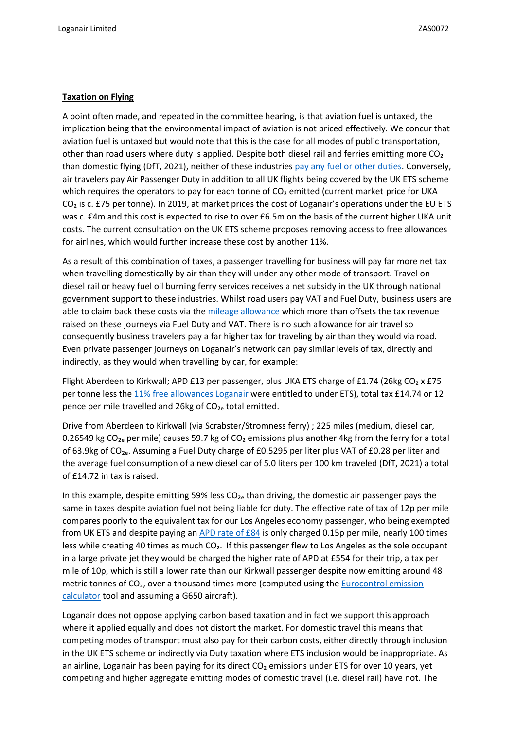## **Taxation on Flying**

A point often made, and repeated in the committee hearing, is that aviation fuel is untaxed, the implication being that the environmental impact of aviation is not priced effectively. We concur that aviation fuel is untaxed but would note that this is the case for all modes of public transportation, other than road users where duty is applied. Despite both diesel rail and ferries emitting more CO<sub>2</sub> than domestic flying (DfT, 2021), neither of these industries [pay](https://www.gov.uk/guidance/fuel-duty-reliefs) [any](https://www.gov.uk/guidance/fuel-duty-reliefs) [fuel](https://www.gov.uk/guidance/fuel-duty-reliefs) [or](https://www.gov.uk/guidance/fuel-duty-reliefs) [other](https://www.gov.uk/guidance/fuel-duty-reliefs) [duties.](https://www.gov.uk/guidance/fuel-duty-reliefs) Conversely, air travelers pay Air Passenger Duty in addition to all UK flights being covered by the UK ETS scheme which requires the operators to pay for each tonne of CO<sub>2</sub> emitted (current market price for UKA CO<sub>2</sub> is c. £75 per tonne). In 2019, at market prices the cost of Loganair's operations under the EU ETS was c. €4m and this cost is expected to rise to over £6.5m on the basis of the current higher UKA unit costs. The current consultation on the UK ETS scheme proposes removing access to free allowances for airlines, which would further increase these cost by another 11%.

As a result of this combination of taxes, a passenger travelling for business will pay far more net tax when travelling domestically by air than they will under any other mode of transport. Travel on diesel rail or heavy fuel oil burning ferry services receives a net subsidy in the UK through national government support to these industries. Whilst road users pay VAT and Fuel Duty, business users are able to claim back these costs via the [mileage](https://www.gov.uk/government/publications/rates-and-allowances-travel-mileage-and-fuel-allowances/travel-mileage-and-fuel-rates-and-allowances) [allowance](https://www.gov.uk/government/publications/rates-and-allowances-travel-mileage-and-fuel-allowances/travel-mileage-and-fuel-rates-and-allowances) which more than offsets the tax revenue raised on these journeys via Fuel Duty and VAT. There is no such allowance for air travel so consequently business travelers pay a far higher tax for traveling by air than they would via road. Even private passenger journeys on Loganair's network can pay similar levels of tax, directly and indirectly, as they would when travelling by car, for example:

Flight Aberdeen to Kirkwall; APD £13 per passenger, plus UKA ETS charge of £1.74 (26kg CO<sub>2</sub> x £75 per tonne less the [11%](https://ec.europa.eu/clima/ets/ohaDetails.do?accountID=106230&action=all&languageCode=en&returnURL=installationName%3D%26accountHolder%3D%26search%3DSearch%26permitIdentifier%3D%26form%3Doha%26searchType%3Doha%26currentSortSettings%3D%26mainActivityType%3D10%26installationIdentifier%3D%26account.registryCodes%3DGB%26languageCode%3Den®istryCode=GB) [free](https://ec.europa.eu/clima/ets/ohaDetails.do?accountID=106230&action=all&languageCode=en&returnURL=installationName%3D%26accountHolder%3D%26search%3DSearch%26permitIdentifier%3D%26form%3Doha%26searchType%3Doha%26currentSortSettings%3D%26mainActivityType%3D10%26installationIdentifier%3D%26account.registryCodes%3DGB%26languageCode%3Den®istryCode=GB) [allowances](https://ec.europa.eu/clima/ets/ohaDetails.do?accountID=106230&action=all&languageCode=en&returnURL=installationName%3D%26accountHolder%3D%26search%3DSearch%26permitIdentifier%3D%26form%3Doha%26searchType%3Doha%26currentSortSettings%3D%26mainActivityType%3D10%26installationIdentifier%3D%26account.registryCodes%3DGB%26languageCode%3Den®istryCode=GB) [Loganair](https://ec.europa.eu/clima/ets/ohaDetails.do?accountID=106230&action=all&languageCode=en&returnURL=installationName%3D%26accountHolder%3D%26search%3DSearch%26permitIdentifier%3D%26form%3Doha%26searchType%3Doha%26currentSortSettings%3D%26mainActivityType%3D10%26installationIdentifier%3D%26account.registryCodes%3DGB%26languageCode%3Den®istryCode=GB) were entitled to under ETS), total tax £14.74 or 12 pence per mile travelled and 26kg of CO<sub>2</sub>e total emitted.

Drive from Aberdeen to Kirkwall (via Scrabster/Stromness ferry) ; 225 miles (medium, diesel car, 0.26549 kg CO<sub>2</sub>e per mile) causes 59.7 kg of CO<sub>2</sub> emissions plus another 4kg from the ferry for a total of 63.9kg of CO<sub>2e</sub>. Assuming a Fuel Duty charge of £0.5295 per liter plus VAT of £0.28 per liter and the average fuel consumption of a new diesel car of 5.0 liters per 100 km traveled (DfT, 2021) a total of £14.72 in tax is raised.

In this example, despite emitting 59% less  $CO<sub>2</sub>e$  than driving, the domestic air passenger pays the same in taxes despite aviation fuel not being liable for duty. The effective rate of tax of 12p per mile compares poorly to the equivalent tax for our Los Angeles economy passenger, who being exempted from UK ETS and despite paying an [APD](https://www.gov.uk/guidance/rates-and-allowances-for-air-passenger-duty) [rate](https://www.gov.uk/guidance/rates-and-allowances-for-air-passenger-duty) [of](https://www.gov.uk/guidance/rates-and-allowances-for-air-passenger-duty) [£84](https://www.gov.uk/guidance/rates-and-allowances-for-air-passenger-duty) is only charged 0.15p per mile, nearly 100 times less while creating 40 times as much CO<sub>2</sub>. If this passenger flew to Los Angeles as the sole occupant in a large private jet they would be charged the higher rate of APD at £554 for their trip, a tax per mile of 10p, which is still a lower rate than our Kirkwall passenger despite now emitting around 48 metric tonnes of CO<sub>2</sub>, over a thousand times more (computed using the [Eurocontrol](https://www.eurocontrol.int/tool/small-emitters-tool) [emission](https://www.eurocontrol.int/tool/small-emitters-tool) [calculator](https://www.eurocontrol.int/tool/small-emitters-tool) tool and assuming a G650 aircraft).

Loganair does not oppose applying carbon based taxation and in fact we support this approach where it applied equally and does not distort the market. For domestic travel this means that competing modes of transport must also pay for their carbon costs, either directly through inclusion in the UK ETS scheme or indirectly via Duty taxation where ETS inclusion would be inappropriate. As an airline, Loganair has been paying for its direct CO<sub>2</sub> emissions under ETS for over 10 years, yet competing and higher aggregate emitting modes of domestic travel (i.e. diesel rail) have not. The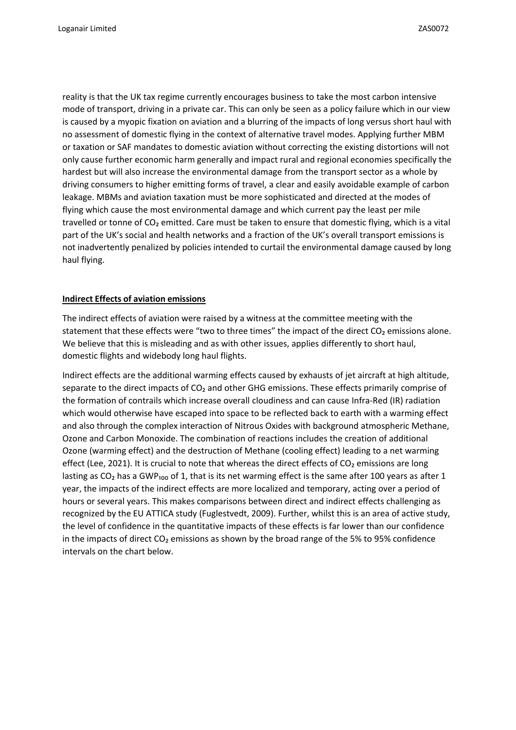reality is that the UK tax regime currently encourages business to take the most carbon intensive mode of transport, driving in a private car. This can only be seen as a policy failure which in our view is caused by a myopic fixation on aviation and a blurring of the impacts of long versus short haul with no assessment of domestic flying in the context of alternative travel modes. Applying further MBM or taxation or SAF mandates to domestic aviation without correcting the existing distortions will not only cause further economic harm generally and impact rural and regional economies specifically the hardest but will also increase the environmental damage from the transport sector as a whole by driving consumers to higher emitting forms of travel, a clear and easily avoidable example of carbon leakage. MBMs and aviation taxation must be more sophisticated and directed at the modes of flying which cause the most environmental damage and which current pay the least per mile travelled or tonne of CO<sub>2</sub> emitted. Care must be taken to ensure that domestic flying, which is a vital part of the UK's social and health networks and a fraction of the UK's overall transport emissions is not inadvertently penalized by policies intended to curtail the environmental damage caused by long haul flying.

## **Indirect Effects of aviation emissions**

The indirect effects of aviation were raised by a witness at the committee meeting with the statement that these effects were "two to three times" the impact of the direct  $CO<sub>2</sub>$  emissions alone. We believe that this is misleading and as with other issues, applies differently to short haul, domestic flights and widebody long haul flights.

Indirect effects are the additional warming effects caused by exhausts of jet aircraft at high altitude, separate to the direct impacts of CO<sub>2</sub> and other GHG emissions. These effects primarily comprise of the formation of contrails which increase overall cloudiness and can cause Infra-Red (IR) radiation which would otherwise have escaped into space to be reflected back to earth with a warming effect and also through the complex interaction of Nitrous Oxides with background atmospheric Methane, Ozone and Carbon Monoxide. The combination of reactions includes the creation of additional Ozone (warming effect) and the destruction of Methane (cooling effect) leading to a net warming effect (Lee, 2021). It is crucial to note that whereas the direct effects of CO<sub>2</sub> emissions are long lasting as  $CO<sub>2</sub>$  has a GWP<sub>100</sub> of 1, that is its net warming effect is the same after 100 years as after 1 year, the impacts of the indirect effects are more localized and temporary, acting over a period of hours or several years. This makes comparisons between direct and indirect effects challenging as recognized by the EU ATTICA study (Fuglestvedt, 2009). Further, whilst this is an area of active study, the level of confidence in the quantitative impacts of these effects is far lower than our confidence in the impacts of direct  $CO<sub>2</sub>$  emissions as shown by the broad range of the 5% to 95% confidence intervals on the chart below.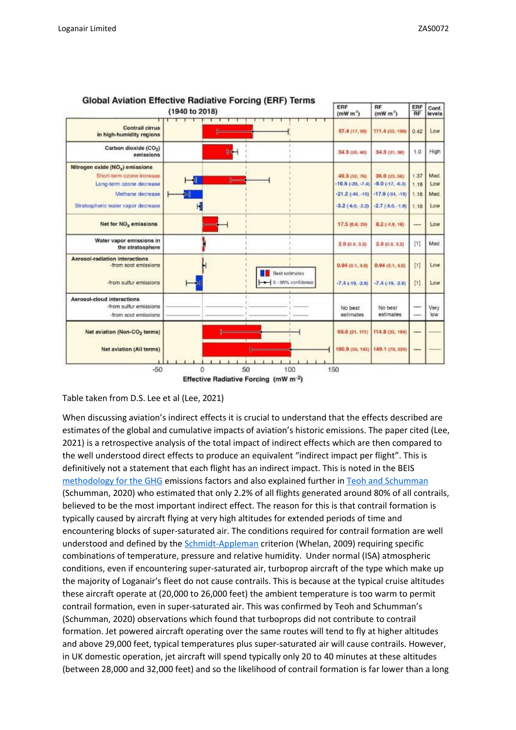

#### **Global Aviation Effective Radiative Forcing (ERF) Terms**

Table taken from D.S. Lee et al (Lee, 2021)

When discussing aviation's indirect effects it is crucial to understand that the effects described are estimates of the global and cumulative impacts of aviation's historic emissions. The paper cited (Lee, 2021) is a retrospective analysis of the total impact of indirect effects which are then compared to the well understood direct effects to produce an equivalent "indirect impact per flight". This is definitively not a statement that each flight has an indirect impact. This is noted in the BEIS [methodology](https://assets.publishing.service.gov.uk/government/uploads/system/uploads/attachment_data/file/1049346/2021-ghg-conversion-factors-methodology.pdf) [for](https://assets.publishing.service.gov.uk/government/uploads/system/uploads/attachment_data/file/1049346/2021-ghg-conversion-factors-methodology.pdf) [the](https://assets.publishing.service.gov.uk/government/uploads/system/uploads/attachment_data/file/1049346/2021-ghg-conversion-factors-methodology.pdf) [GHG](https://assets.publishing.service.gov.uk/government/uploads/system/uploads/attachment_data/file/1049346/2021-ghg-conversion-factors-methodology.pdf) emissions factors and also explained further in [Teoh](https://pubs.acs.org/doi/abs/10.1021/acs.est.9b05608) [and](https://pubs.acs.org/doi/abs/10.1021/acs.est.9b05608) [Schumman](https://pubs.acs.org/doi/abs/10.1021/acs.est.9b05608) (Schumman, 2020) who estimated that only 2.2% of all flights generated around 80% of all contrails, believed to be the most important indirect effect. The reason for this is that contrail formation is typically caused by aircraft flying at very high altitudes for extended periods of time and encountering blocks of super-saturated air. The conditions required for contrail formation are well understood and defined by the [Schmidt-Appleman](https://www.researchgate.net/figure/Schmidt-Appleman-criterion-for-contrail-formation-The-red-line-represents-the-state-of_fig3_244478376) criterion (Whelan, 2009) requiring specific combinations of temperature, pressure and relative humidity. Under normal (ISA) atmospheric conditions, even if encountering super-saturated air, turboprop aircraft of the type which make up the majority of Loganair's fleet do not cause contrails. This is because at the typical cruise altitudes these aircraft operate at (20,000 to 26,000 feet) the ambient temperature is too warm to permit contrail formation, even in super-saturated air. This was confirmed by Teoh and Schumman's (Schumman, 2020) observations which found that turboprops did not contribute to contrail formation. Jet powered aircraft operating over the same routes will tend to fly at higher altitudes and above 29,000 feet, typical temperatures plus super-saturated air will cause contrails. However, in UK domestic operation, jet aircraft will spend typically only 20 to 40 minutes at these altitudes (between 28,000 and 32,000 feet) and so the likelihood of contrail formation is far lower than a long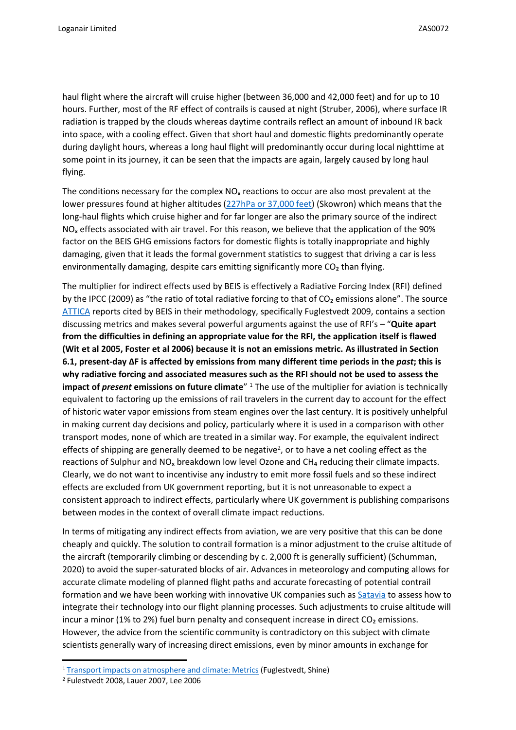haul flight where the aircraft will cruise higher (between 36,000 and 42,000 feet) and for up to 10 hours. Further, most of the RF effect of contrails is caused at night (Struber, 2006), where surface IR radiation is trapped by the clouds whereas daytime contrails reflect an amount of inbound IR back into space, with a cooling effect. Given that short haul and domestic flights predominantly operate during daylight hours, whereas a long haul flight will predominantly occur during local nighttime at some point in its journey, it can be seen that the impacts are again, largely caused by long haul flying.

The conditions necessary for the complex  $NO<sub>x</sub>$  reactions to occur are also most prevalent at the lower pressures found at higher altitudes [\(227hPa](https://core.ac.uk/download/pdf/161890225.pdf) [or](https://core.ac.uk/download/pdf/161890225.pdf) [37,000](https://core.ac.uk/download/pdf/161890225.pdf) [feet\)](https://core.ac.uk/download/pdf/161890225.pdf) (Skowron) which means that the long-haul flights which cruise higher and for far longer are also the primary source of the indirect  $NO<sub>x</sub>$  effects associated with air travel. For this reason, we believe that the application of the 90% factor on the BEIS GHG emissions factors for domestic flights is totally inappropriate and highly damaging, given that it leads the formal government statistics to suggest that driving a car is less environmentally damaging, despite cars emitting significantly more  $CO<sub>2</sub>$  than flying.

The multiplier for indirect effects used by BEIS is effectively a Radiative Forcing Index (RFI) defined by the IPCC (2009) as "the ratio of total radiative forcing to that of CO<sub>2</sub> emissions alone". The source [ATTICA](http://www.pa.op.dlr.de/attica/) [r](http://www.pa.op.dlr.de/attica/)eports cited by BEIS in their methodology, specifically Fuglestvedt 2009, contains a section discussing metrics and makes several powerful arguments against the use of RFI's – "**Quite apart from the difficulties in defining an appropriate value for the RFI, the application itself is flawed** (Wit et al 2005, Foster et al 2006) because it is not an emissions metric. As illustrated in Section **6.1, present-day ΔF is affected by emissions from many different time periods in the** *past***; this is why radiative forcing and associated measures such as the RFI should not be used to assess the impact of** *present* **emissions on future climate**" <sup>1</sup> The use of the multiplier for aviation is technically equivalent to factoring up the emissions of rail travelers in the current day to account for the effect of historic water vapor emissions from steam engines over the last century. It is positively unhelpful in making current day decisions and policy, particularly where it is used in a comparison with other transport modes, none of which are treated in a similar way. For example, the equivalent indirect effects of shipping are generally deemed to be negative<sup>2</sup>, or to have a net cooling effect as the reactions of Sulphur and  $NO<sub>x</sub>$  breakdown low level Ozone and CH<sub>4</sub> reducing their climate impacts. Clearly, we do not want to incentivise any industry to emit more fossil fuels and so these indirect effects are excluded from UK government reporting, but it is not unreasonable to expect a consistent approach to indirect effects, particularly where UK government is publishing comparisons between modes in the context of overall climate impact reductions.

In terms of mitigating any indirect effects from aviation, we are very positive that this can be done cheaply and quickly. The solution to contrail formation is a minor adjustment to the cruise altitude of the aircraft (temporarily climbing or descending by c. 2,000 ft is generally sufficient) (Schumman, 2020) to avoid the super-saturated blocks of air. Advances in meteorology and computing allows for accurate climate modeling of planned flight paths and accurate forecasting of potential contrail formation and we have been working with innovative UK companies such as [Satavia](https://satavia.com/) [t](https://satavia.com/)o assess how to integrate their technology into our flight planning processes. Such adjustments to cruise altitude will incur a minor (1% to 2%) fuel burn penalty and consequent increase in direct CO<sub>2</sub> emissions. However, the advice from the scientific community is contradictory on this subject with climate scientists generally wary of increasing direct emissions, even by minor amounts in exchange for

<sup>1</sup> [Transport](http://www.pa.op.dlr.de/attica/) [impacts](http://www.pa.op.dlr.de/attica/) [on](http://www.pa.op.dlr.de/attica/) [atmosphere](http://www.pa.op.dlr.de/attica/) [and](http://www.pa.op.dlr.de/attica/) [climate:](http://www.pa.op.dlr.de/attica/) [Metrics](http://www.pa.op.dlr.de/attica/) [\(](http://www.pa.op.dlr.de/attica/)Fuglestvedt, Shine)

<sup>2</sup> Fulestvedt 2008, Lauer 2007, Lee 2006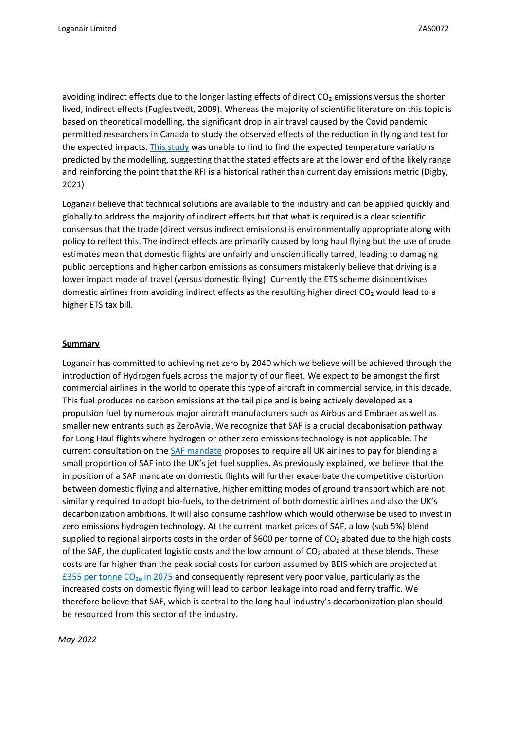avoiding indirect effects due to the longer lasting effects of direct CO<sub>2</sub> emissions versus the shorter lived, indirect effects (Fuglestvedt, 2009). Whereas the majority of scientific literature on this topic is based on theoretical modelling, the significant drop in air travel caused by the Covid pandemic permitted researchers in Canada to study the observed effects of the reduction in flying and test for the expected impacts. [This](https://agupubs.onlinelibrary.wiley.com/doi/10.1029/2021GL095882) [study](https://agupubs.onlinelibrary.wiley.com/doi/10.1029/2021GL095882) [w](https://agupubs.onlinelibrary.wiley.com/doi/10.1029/2021GL095882)as unable to find to find the expected temperature variations predicted by the modelling, suggesting that the stated effects are at the lower end of the likely range and reinforcing the point that the RFI is a historical rather than current day emissions metric (Digby, 2021)

Loganair believe that technical solutions are available to the industry and can be applied quickly and globally to address the majority of indirect effects but that what is required is a clear scientific consensus that the trade (direct versus indirect emissions) is environmentally appropriate along with policy to reflect this. The indirect effects are primarily caused by long haul flying but the use of crude estimates mean that domestic flights are unfairly and unscientifically tarred, leading to damaging public perceptions and higher carbon emissions as consumers mistakenly believe that driving is a lower impact mode of travel (versus domestic flying). Currently the ETS scheme disincentivises domestic airlines from avoiding indirect effects as the resulting higher direct CO<sub>2</sub> would lead to a higher ETS tax bill.

## **Summary**

Loganair has committed to achieving net zero by 2040 which we believe will be achieved through the introduction of Hydrogen fuels across the majority of our fleet. We expect to be amongst the first commercial airlines in the world to operate this type of aircraft in commercial service, in this decade. This fuel produces no carbon emissions at the tail pipe and is being actively developed as a propulsion fuel by numerous major aircraft manufacturers such as Airbus and Embraer as well as smaller new entrants such as ZeroAvia. We recognize that SAF is a crucial decabonisation pathway for Long Haul flights where hydrogen or other zero emissions technology is not applicable. The current consultation on the [SAF](https://www.gov.uk/government/consultations/mandating-the-use-of-sustainable-aviation-fuels-in-the-uk) [mandate](https://www.gov.uk/government/consultations/mandating-the-use-of-sustainable-aviation-fuels-in-the-uk) [p](https://www.gov.uk/government/consultations/mandating-the-use-of-sustainable-aviation-fuels-in-the-uk)roposes to require all UK airlines to pay for blending a small proportion of SAF into the UK's jet fuel supplies. As previously explained, we believe that the imposition of a SAF mandate on domestic flights will further exacerbate the competitive distortion between domestic flying and alternative, higher emitting modes of ground transport which are not similarly required to adopt bio-fuels, to the detriment of both domestic airlines and also the UK's decarbonization ambitions. It will also consume cashflow which would otherwise be used to invest in zero emissions hydrogen technology. At the current market prices of SAF, a low (sub 5%) blend supplied to regional airports costs in the order of \$600 per tonne of CO<sub>2</sub> abated due to the high costs of the SAF, the duplicated logistic costs and the low amount of  $CO<sub>2</sub>$  abated at these blends. These costs are far higher than the peak social costs for carbon assumed by BEIS which are projected at [£355](https://www.forestresearch.gov.uk/research/review-of-approaches-to-carbon-valuation-discounting-and-risk-management/current-uk-government-guidance-for-social-value-of-carbon/) [per](https://www.forestresearch.gov.uk/research/review-of-approaches-to-carbon-valuation-discounting-and-risk-management/current-uk-government-guidance-for-social-value-of-carbon/) [tonne](https://www.forestresearch.gov.uk/research/review-of-approaches-to-carbon-valuation-discounting-and-risk-management/current-uk-government-guidance-for-social-value-of-carbon/)  $CO<sub>2e</sub>$  [in](https://www.forestresearch.gov.uk/research/review-of-approaches-to-carbon-valuation-discounting-and-risk-management/current-uk-government-guidance-for-social-value-of-carbon/) [2075](https://www.forestresearch.gov.uk/research/review-of-approaches-to-carbon-valuation-discounting-and-risk-management/current-uk-government-guidance-for-social-value-of-carbon/) and consequently represent very poor value, particularly as the increased costs on domestic flying will lead to carbon leakage into road and ferry traffic. We therefore believe that SAF, which is central to the long haul industry's decarbonization plan should be resourced from this sector of the industry.

*May 2022*